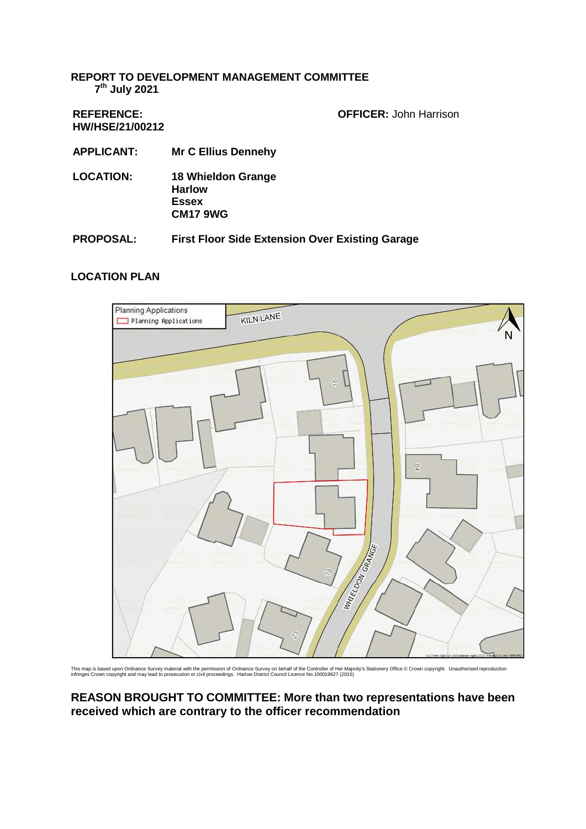#### **REPORT TO DEVELOPMENT MANAGEMENT COMMITTEE 7 th July 2021**

**REFERENCE: HW/HSE/21/00212** **OFFICER:** John Harrison

- **APPLICANT: Mr C Ellius Dennehy**
- **LOCATION: 18 Whieldon Grange Harlow Essex CM17 9WG**
- **PROPOSAL: First Floor Side Extension Over Existing Garage**

### **LOCATION PLAN**



This map is based upon Ordnance Survey material with the permission of Ordnance Survey on behalf of the Controller of Her Majesty's Stationery Office @ Crown copyright. Unauthorised reproduction<br>infringes Crown copyright a

### **REASON BROUGHT TO COMMITTEE: More than two representations have been received which are contrary to the officer recommendation**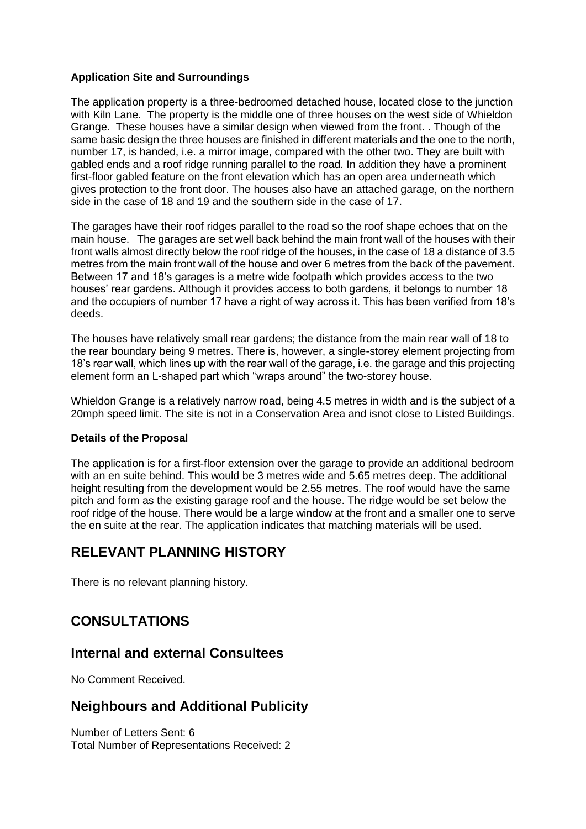### **Application Site and Surroundings**

The application property is a three-bedroomed detached house, located close to the junction with Kiln Lane. The property is the middle one of three houses on the west side of Whieldon Grange. These houses have a similar design when viewed from the front. . Though of the same basic design the three houses are finished in different materials and the one to the north, number 17, is handed, i.e. a mirror image, compared with the other two. They are built with gabled ends and a roof ridge running parallel to the road. In addition they have a prominent first-floor gabled feature on the front elevation which has an open area underneath which gives protection to the front door. The houses also have an attached garage, on the northern side in the case of 18 and 19 and the southern side in the case of 17.

The garages have their roof ridges parallel to the road so the roof shape echoes that on the main house. The garages are set well back behind the main front wall of the houses with their front walls almost directly below the roof ridge of the houses, in the case of 18 a distance of 3.5 metres from the main front wall of the house and over 6 metres from the back of the pavement. Between 17 and 18's garages is a metre wide footpath which provides access to the two houses' rear gardens. Although it provides access to both gardens, it belongs to number 18 and the occupiers of number 17 have a right of way across it. This has been verified from 18's deeds.

The houses have relatively small rear gardens; the distance from the main rear wall of 18 to the rear boundary being 9 metres. There is, however, a single-storey element projecting from 18's rear wall, which lines up with the rear wall of the garage, i.e. the garage and this projecting element form an L-shaped part which "wraps around" the two-storey house.

Whieldon Grange is a relatively narrow road, being 4.5 metres in width and is the subject of a 20mph speed limit. The site is not in a Conservation Area and isnot close to Listed Buildings.

#### **Details of the Proposal**

The application is for a first-floor extension over the garage to provide an additional bedroom with an en suite behind. This would be 3 metres wide and 5.65 metres deep. The additional height resulting from the development would be 2.55 metres. The roof would have the same pitch and form as the existing garage roof and the house. The ridge would be set below the roof ridge of the house. There would be a large window at the front and a smaller one to serve the en suite at the rear. The application indicates that matching materials will be used.

# **RELEVANT PLANNING HISTORY**

There is no relevant planning history.

# **CONSULTATIONS**

## **Internal and external Consultees**

No Comment Received.

## **Neighbours and Additional Publicity**

Number of Letters Sent: 6 Total Number of Representations Received: 2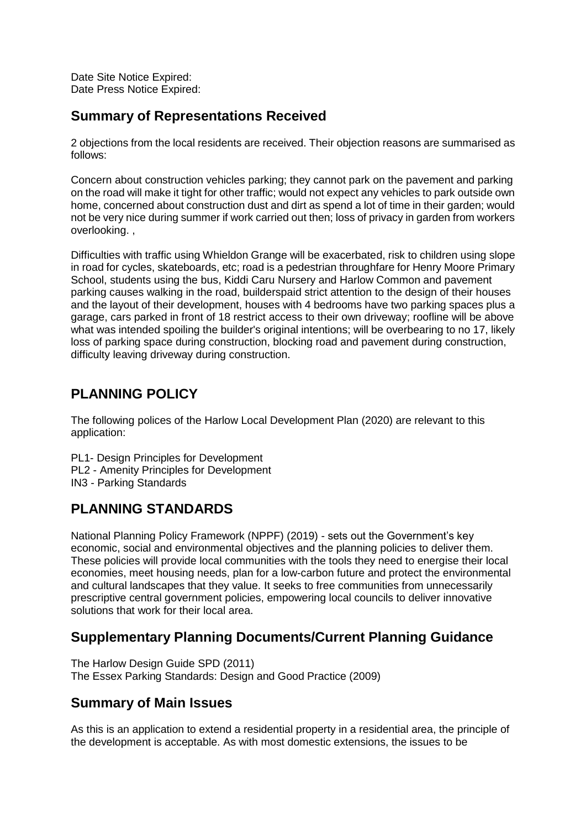Date Site Notice Expired: Date Press Notice Expired:

## **Summary of Representations Received**

2 objections from the local residents are received. Their objection reasons are summarised as follows:

Concern about construction vehicles parking; they cannot park on the pavement and parking on the road will make it tight for other traffic; would not expect any vehicles to park outside own home, concerned about construction dust and dirt as spend a lot of time in their garden; would not be very nice during summer if work carried out then; loss of privacy in garden from workers overlooking. ,

Difficulties with traffic using Whieldon Grange will be exacerbated, risk to children using slope in road for cycles, skateboards, etc; road is a pedestrian throughfare for Henry Moore Primary School, students using the bus, Kiddi Caru Nursery and Harlow Common and pavement parking causes walking in the road, builderspaid strict attention to the design of their houses and the layout of their development, houses with 4 bedrooms have two parking spaces plus a garage, cars parked in front of 18 restrict access to their own driveway; roofline will be above what was intended spoiling the builder's original intentions; will be overbearing to no 17, likely loss of parking space during construction, blocking road and pavement during construction, difficulty leaving driveway during construction.

# **PLANNING POLICY**

The following polices of the Harlow Local Development Plan (2020) are relevant to this application:

PL1- Design Principles for Development PL2 - Amenity Principles for Development IN3 - Parking Standards

# **PLANNING STANDARDS**

National Planning Policy Framework (NPPF) (2019) - sets out the Government's key economic, social and environmental objectives and the planning policies to deliver them. These policies will provide local communities with the tools they need to energise their local economies, meet housing needs, plan for a low-carbon future and protect the environmental and cultural landscapes that they value. It seeks to free communities from unnecessarily prescriptive central government policies, empowering local councils to deliver innovative solutions that work for their local area.

# **Supplementary Planning Documents/Current Planning Guidance**

The Harlow Design Guide SPD (2011) The Essex Parking Standards: Design and Good Practice (2009)

# **Summary of Main Issues**

As this is an application to extend a residential property in a residential area, the principle of the development is acceptable. As with most domestic extensions, the issues to be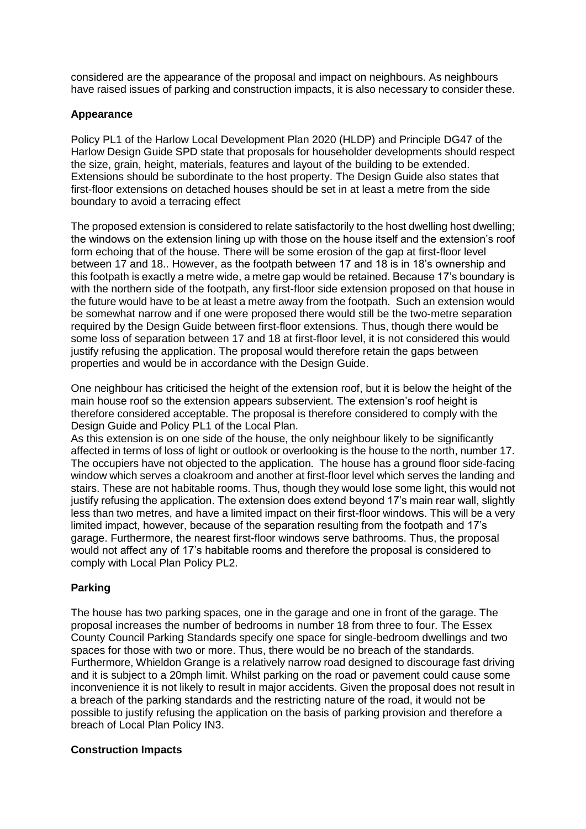considered are the appearance of the proposal and impact on neighbours. As neighbours have raised issues of parking and construction impacts, it is also necessary to consider these.

#### **Appearance**

Policy PL1 of the Harlow Local Development Plan 2020 (HLDP) and Principle DG47 of the Harlow Design Guide SPD state that proposals for householder developments should respect the size, grain, height, materials, features and layout of the building to be extended. Extensions should be subordinate to the host property. The Design Guide also states that first-floor extensions on detached houses should be set in at least a metre from the side boundary to avoid a terracing effect

The proposed extension is considered to relate satisfactorily to the host dwelling host dwelling; the windows on the extension lining up with those on the house itself and the extension's roof form echoing that of the house. There will be some erosion of the gap at first-floor level between 17 and 18.. However, as the footpath between 17 and 18 is in 18's ownership and this footpath is exactly a metre wide, a metre gap would be retained. Because 17's boundary is with the northern side of the footpath, any first-floor side extension proposed on that house in the future would have to be at least a metre away from the footpath. Such an extension would be somewhat narrow and if one were proposed there would still be the two-metre separation required by the Design Guide between first-floor extensions. Thus, though there would be some loss of separation between 17 and 18 at first-floor level, it is not considered this would justify refusing the application. The proposal would therefore retain the gaps between properties and would be in accordance with the Design Guide.

One neighbour has criticised the height of the extension roof, but it is below the height of the main house roof so the extension appears subservient. The extension's roof height is therefore considered acceptable. The proposal is therefore considered to comply with the Design Guide and Policy PL1 of the Local Plan.

As this extension is on one side of the house, the only neighbour likely to be significantly affected in terms of loss of light or outlook or overlooking is the house to the north, number 17. The occupiers have not objected to the application. The house has a ground floor side-facing window which serves a cloakroom and another at first-floor level which serves the landing and stairs. These are not habitable rooms. Thus, though they would lose some light, this would not justify refusing the application. The extension does extend beyond 17's main rear wall, slightly less than two metres, and have a limited impact on their first-floor windows. This will be a very limited impact, however, because of the separation resulting from the footpath and 17's garage. Furthermore, the nearest first-floor windows serve bathrooms. Thus, the proposal would not affect any of 17's habitable rooms and therefore the proposal is considered to comply with Local Plan Policy PL2.

#### **Parking**

The house has two parking spaces, one in the garage and one in front of the garage. The proposal increases the number of bedrooms in number 18 from three to four. The Essex County Council Parking Standards specify one space for single-bedroom dwellings and two spaces for those with two or more. Thus, there would be no breach of the standards. Furthermore, Whieldon Grange is a relatively narrow road designed to discourage fast driving and it is subject to a 20mph limit. Whilst parking on the road or pavement could cause some inconvenience it is not likely to result in major accidents. Given the proposal does not result in a breach of the parking standards and the restricting nature of the road, it would not be possible to justify refusing the application on the basis of parking provision and therefore a breach of Local Plan Policy IN3.

#### **Construction Impacts**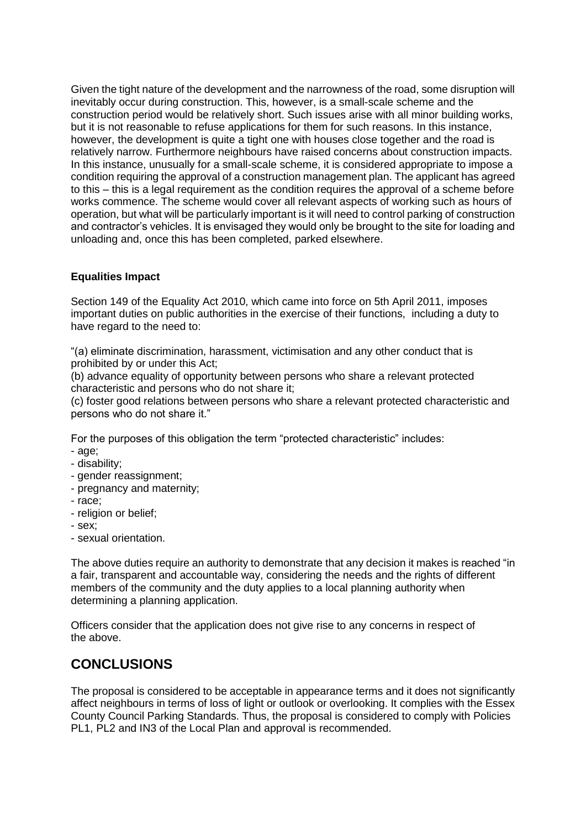Given the tight nature of the development and the narrowness of the road, some disruption will inevitably occur during construction. This, however, is a small-scale scheme and the construction period would be relatively short. Such issues arise with all minor building works, but it is not reasonable to refuse applications for them for such reasons. In this instance, however, the development is quite a tight one with houses close together and the road is relatively narrow. Furthermore neighbours have raised concerns about construction impacts. In this instance, unusually for a small-scale scheme, it is considered appropriate to impose a condition requiring the approval of a construction management plan. The applicant has agreed to this – this is a legal requirement as the condition requires the approval of a scheme before works commence. The scheme would cover all relevant aspects of working such as hours of operation, but what will be particularly important is it will need to control parking of construction and contractor's vehicles. It is envisaged they would only be brought to the site for loading and unloading and, once this has been completed, parked elsewhere.

### **Equalities Impact**

Section 149 of the Equality Act 2010, which came into force on 5th April 2011, imposes important duties on public authorities in the exercise of their functions, including a duty to have regard to the need to:

"(a) eliminate discrimination, harassment, victimisation and any other conduct that is prohibited by or under this Act;

(b) advance equality of opportunity between persons who share a relevant protected characteristic and persons who do not share it;

(c) foster good relations between persons who share a relevant protected characteristic and persons who do not share it."

For the purposes of this obligation the term "protected characteristic" includes:

- age;
- disability;
- gender reassignment;
- pregnancy and maternity;
- race;
- religion or belief;
- sex;
- sexual orientation.

The above duties require an authority to demonstrate that any decision it makes is reached "in a fair, transparent and accountable way, considering the needs and the rights of different members of the community and the duty applies to a local planning authority when determining a planning application.

Officers consider that the application does not give rise to any concerns in respect of the above.

# **CONCLUSIONS**

The proposal is considered to be acceptable in appearance terms and it does not significantly affect neighbours in terms of loss of light or outlook or overlooking. It complies with the Essex County Council Parking Standards. Thus, the proposal is considered to comply with Policies PL1, PL2 and IN3 of the Local Plan and approval is recommended.